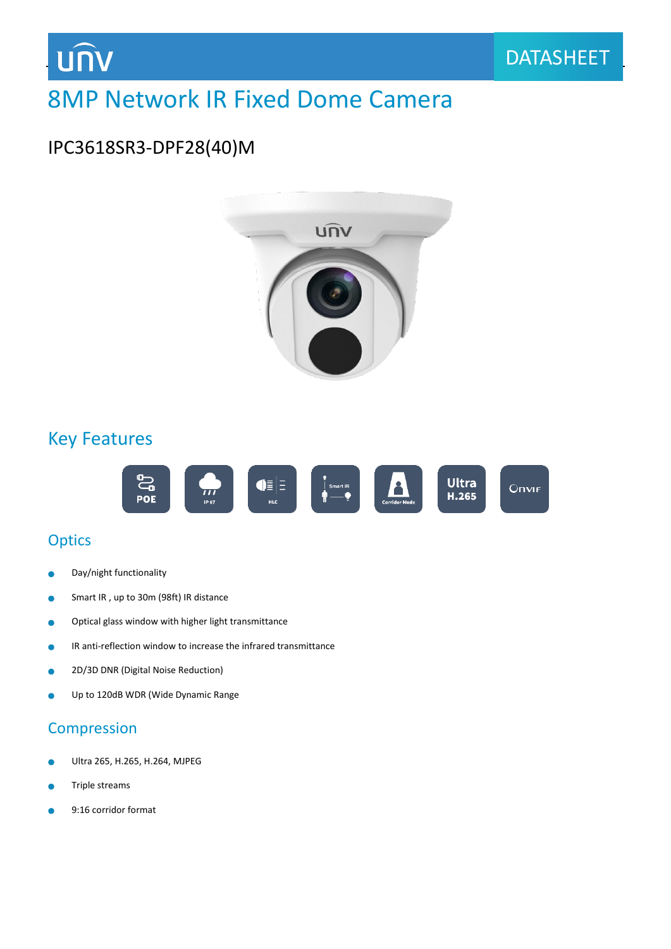

## 8MP Network IR Fixed Dome Camera

## IPC3618SR3-DPF28(40)M



## Key Features



## **Optics**

- Day/night functionality ò
- Smart IR , up to 30m (98ft) IR distance Ċ
- Optical glass window with higher light transmittance  $\bullet$
- IR anti-reflection window to increase the infrared transmittance  $\bullet$
- 2D/3D DNR (Digital Noise Reduction)  $\bullet$
- Up to 120dB WDR (Wide Dynamic Range  $\bullet$

#### Compression

- Ultra 265, H.265, H.264, MJPEG ä
- Triple streams  $\bullet$
- 9:16 corridor format ò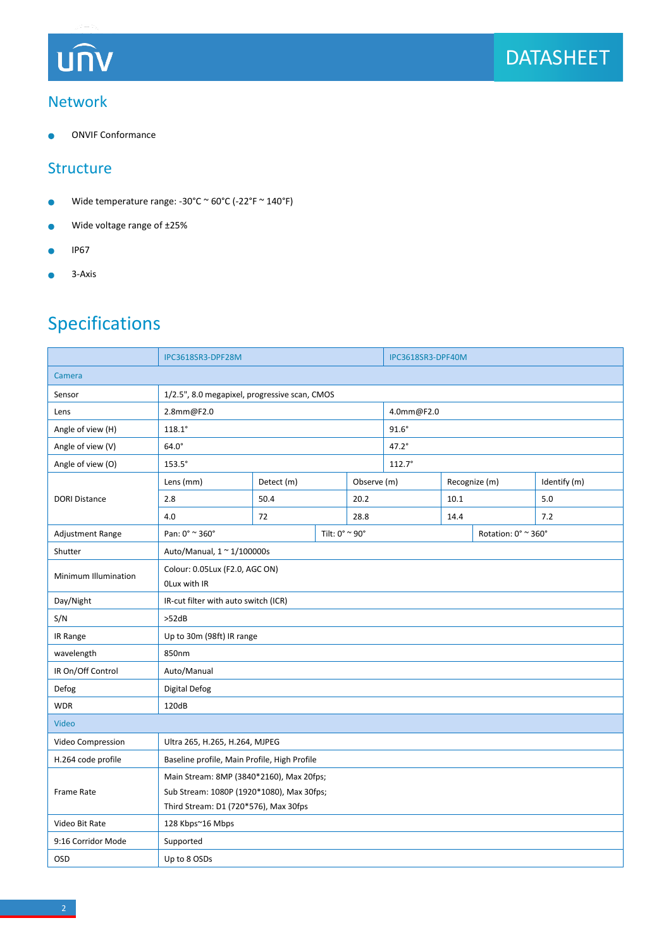## **UNV**

#### Network

ONVIF Conformance ٠

#### **Structure**

- Wide temperature range: -30°C ~ 60°C (-22°F ~ 140°F)  $\bullet$
- Wide voltage range of ±25%  $\bullet$
- IP67  $\bullet$
- 3-Axis  $\bullet$

## Specifications

|                      | IPC3618SR3-DPF28M                              |                |  | IPC3618SR3-DPF40M |                     |               |  |              |  |
|----------------------|------------------------------------------------|----------------|--|-------------------|---------------------|---------------|--|--------------|--|
| Camera               |                                                |                |  |                   |                     |               |  |              |  |
| Sensor               | 1/2.5", 8.0 megapixel, progressive scan, CMOS  |                |  |                   |                     |               |  |              |  |
| Lens                 | 2.8mm@F2.0                                     |                |  | 4.0mm@F2.0        |                     |               |  |              |  |
| Angle of view (H)    | $118.1^\circ$                                  |                |  |                   | $91.6^\circ$        |               |  |              |  |
| Angle of view (V)    | $64.0^\circ$                                   |                |  |                   | 47.2°               |               |  |              |  |
| Angle of view (O)    | $153.5^\circ$                                  |                |  |                   | $112.7^{\circ}$     |               |  |              |  |
| <b>DORI Distance</b> | Lens (mm)                                      | Detect (m)     |  | Observe (m)       |                     | Recognize (m) |  | Identify (m) |  |
|                      | 2.8                                            | 50.4           |  | 20.2              |                     | 10.1          |  | 5.0          |  |
|                      | 4.0                                            | 72             |  | 28.8              |                     | 14.4          |  | 7.2          |  |
| Adjustment Range     | Pan: 0° ~ 360°                                 | Tilt: 0° ~ 90° |  |                   | Rotation: 0° ~ 360° |               |  |              |  |
| Shutter              | Auto/Manual, $1 \approx 1/100000$ s            |                |  |                   |                     |               |  |              |  |
| Minimum Illumination | Colour: 0.05Lux (F2.0, AGC ON)<br>OLux with IR |                |  |                   |                     |               |  |              |  |
| Day/Night            | IR-cut filter with auto switch (ICR)           |                |  |                   |                     |               |  |              |  |
| S/N                  | >52dB                                          |                |  |                   |                     |               |  |              |  |
| IR Range             | Up to 30m (98ft) IR range                      |                |  |                   |                     |               |  |              |  |
| wavelength           | 850nm                                          |                |  |                   |                     |               |  |              |  |
| IR On/Off Control    | Auto/Manual                                    |                |  |                   |                     |               |  |              |  |
| Defog                | Digital Defog                                  |                |  |                   |                     |               |  |              |  |
| <b>WDR</b>           | 120dB                                          |                |  |                   |                     |               |  |              |  |
| Video                |                                                |                |  |                   |                     |               |  |              |  |
| Video Compression    | Ultra 265, H.265, H.264, MJPEG                 |                |  |                   |                     |               |  |              |  |
| H.264 code profile   | Baseline profile, Main Profile, High Profile   |                |  |                   |                     |               |  |              |  |
|                      | Main Stream: 8MP (3840*2160), Max 20fps;       |                |  |                   |                     |               |  |              |  |
| Frame Rate           | Sub Stream: 1080P (1920*1080), Max 30fps;      |                |  |                   |                     |               |  |              |  |
|                      | Third Stream: D1 (720*576), Max 30fps          |                |  |                   |                     |               |  |              |  |
| Video Bit Rate       | 128 Kbps~16 Mbps                               |                |  |                   |                     |               |  |              |  |
| 9:16 Corridor Mode   | Supported                                      |                |  |                   |                     |               |  |              |  |
| OSD                  | Up to 8 OSDs                                   |                |  |                   |                     |               |  |              |  |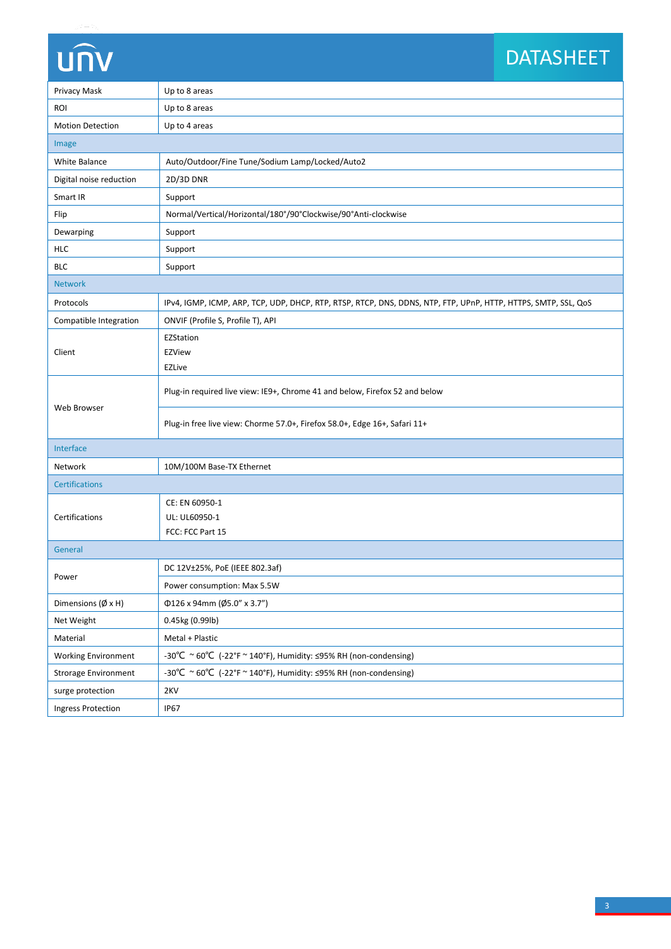# UN

### DATASHEET DATASHEET

| Privacy Mask                      | Up to 8 areas                                                                                                  |  |  |  |  |
|-----------------------------------|----------------------------------------------------------------------------------------------------------------|--|--|--|--|
| ROI                               | Up to 8 areas                                                                                                  |  |  |  |  |
| <b>Motion Detection</b>           | Up to 4 areas                                                                                                  |  |  |  |  |
| Image                             |                                                                                                                |  |  |  |  |
| White Balance                     | Auto/Outdoor/Fine Tune/Sodium Lamp/Locked/Auto2                                                                |  |  |  |  |
| Digital noise reduction           | 2D/3D DNR                                                                                                      |  |  |  |  |
| Smart IR                          | Support                                                                                                        |  |  |  |  |
| Flip                              | Normal/Vertical/Horizontal/180°/90°Clockwise/90°Anti-clockwise                                                 |  |  |  |  |
| Dewarping                         | Support                                                                                                        |  |  |  |  |
| <b>HLC</b>                        | Support                                                                                                        |  |  |  |  |
| $\mathsf{BLC}$                    | Support                                                                                                        |  |  |  |  |
| <b>Network</b>                    |                                                                                                                |  |  |  |  |
| Protocols                         | IPv4, IGMP, ICMP, ARP, TCP, UDP, DHCP, RTP, RTSP, RTCP, DNS, DDNS, NTP, FTP, UPnP, HTTP, HTTPS, SMTP, SSL, QoS |  |  |  |  |
| Compatible Integration            | ONVIF (Profile S, Profile T), API                                                                              |  |  |  |  |
|                                   | EZStation                                                                                                      |  |  |  |  |
| Client                            | <b>EZView</b>                                                                                                  |  |  |  |  |
|                                   | <b>EZLive</b>                                                                                                  |  |  |  |  |
|                                   | Plug-in required live view: IE9+, Chrome 41 and below, Firefox 52 and below                                    |  |  |  |  |
| Web Browser                       | Plug-in free live view: Chorme 57.0+, Firefox 58.0+, Edge 16+, Safari 11+                                      |  |  |  |  |
| Interface                         |                                                                                                                |  |  |  |  |
| Network                           | 10M/100M Base-TX Ethernet                                                                                      |  |  |  |  |
| <b>Certifications</b>             |                                                                                                                |  |  |  |  |
| Certifications                    | CE: EN 60950-1                                                                                                 |  |  |  |  |
|                                   | UL: UL60950-1                                                                                                  |  |  |  |  |
|                                   | FCC: FCC Part 15                                                                                               |  |  |  |  |
| General                           |                                                                                                                |  |  |  |  |
|                                   | DC 12V±25%, PoE (IEEE 802.3af)                                                                                 |  |  |  |  |
| Power                             | Power consumption: Max 5.5W                                                                                    |  |  |  |  |
| Dimensions $(\emptyset \times H)$ | Φ126 x 94mm (Ø5.0" x 3.7")                                                                                     |  |  |  |  |
| Net Weight                        | 0.45kg (0.99lb)                                                                                                |  |  |  |  |
| Material                          | Metal + Plastic                                                                                                |  |  |  |  |
| <b>Working Environment</b>        | -30°C ~ 60°C (-22°F ~ 140°F), Humidity: ≤95% RH (non-condensing)                                               |  |  |  |  |
| <b>Strorage Environment</b>       | -30°C ~ 60°C (-22°F ~ 140°F), Humidity: ≤95% RH (non-condensing)                                               |  |  |  |  |
| surge protection                  | 2KV                                                                                                            |  |  |  |  |
| Ingress Protection                | <b>IP67</b>                                                                                                    |  |  |  |  |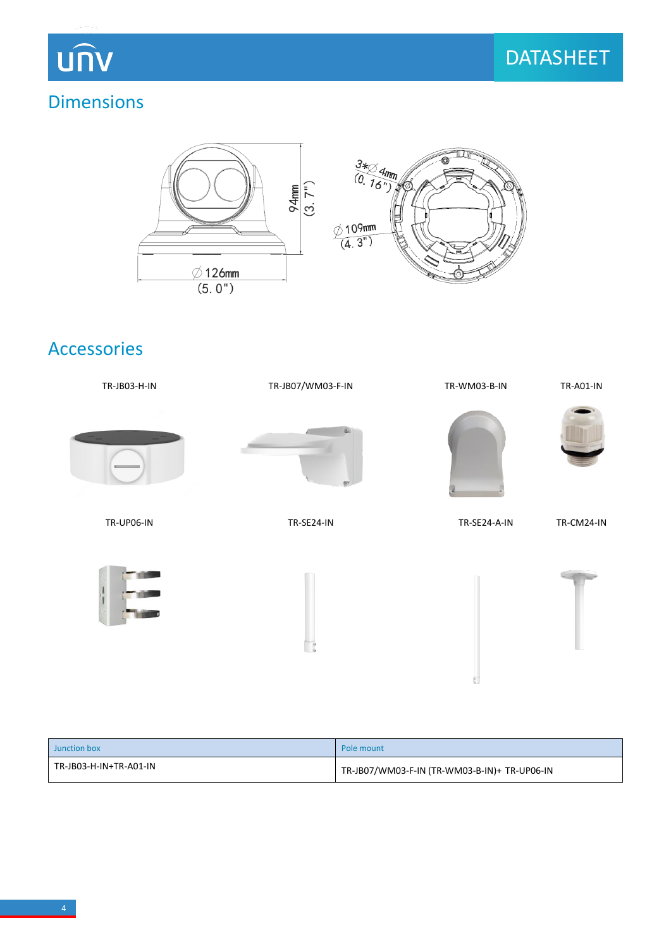**UNV** 

## Dimensions



## Accessories



| Junction box           | Pole mount                                   |
|------------------------|----------------------------------------------|
| TR-JB03-H-IN+TR-A01-IN | TR-JB07/WM03-F-IN (TR-WM03-B-IN)+ TR-UP06-IN |